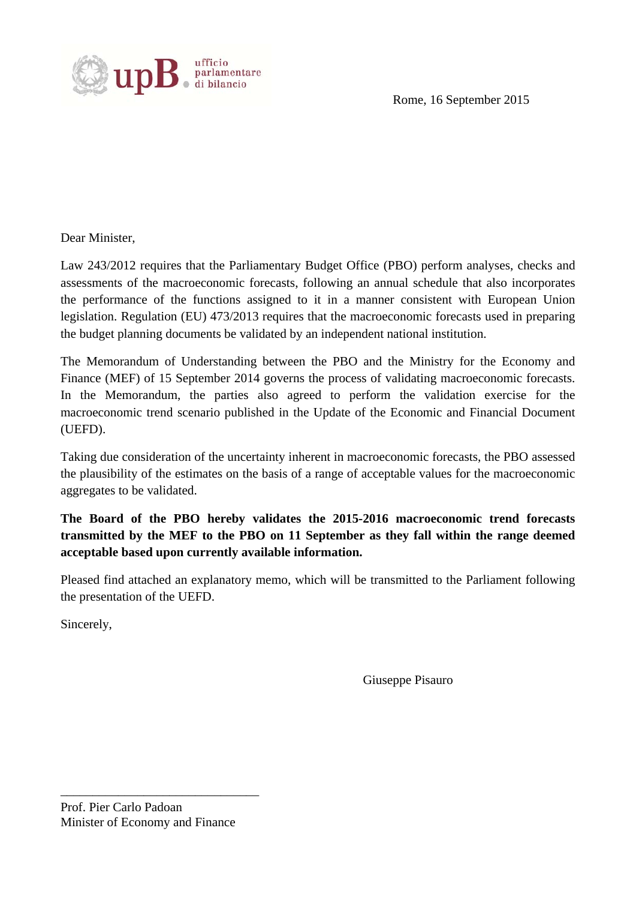

Rome, 16 September 2015

Dear Minister,

Law 243/2012 requires that the Parliamentary Budget Office (PBO) perform analyses, checks and assessments of the macroeconomic forecasts, following an annual schedule that also incorporates the performance of the functions assigned to it in a manner consistent with European Union legislation. Regulation (EU) 473/2013 requires that the macroeconomic forecasts used in preparing the budget planning documents be validated by an independent national institution.

The Memorandum of Understanding between the PBO and the Ministry for the Economy and Finance (MEF) of 15 September 2014 governs the process of validating macroeconomic forecasts. In the Memorandum, the parties also agreed to perform the validation exercise for the macroeconomic trend scenario published in the Update of the Economic and Financial Document (UEFD).

Taking due consideration of the uncertainty inherent in macroeconomic forecasts, the PBO assessed the plausibility of the estimates on the basis of a range of acceptable values for the macroeconomic aggregates to be validated.

## **The Board of the PBO hereby validates the 2015-2016 macroeconomic trend forecasts transmitted by the MEF to the PBO on 11 September as they fall within the range deemed acceptable based upon currently available information.**

Pleased find attached an explanatory memo, which will be transmitted to the Parliament following the presentation of the UEFD.

Sincerely,

Giuseppe Pisauro

Prof. Pier Carlo Padoan Minister of Economy and Finance

\_\_\_\_\_\_\_\_\_\_\_\_\_\_\_\_\_\_\_\_\_\_\_\_\_\_\_\_\_\_\_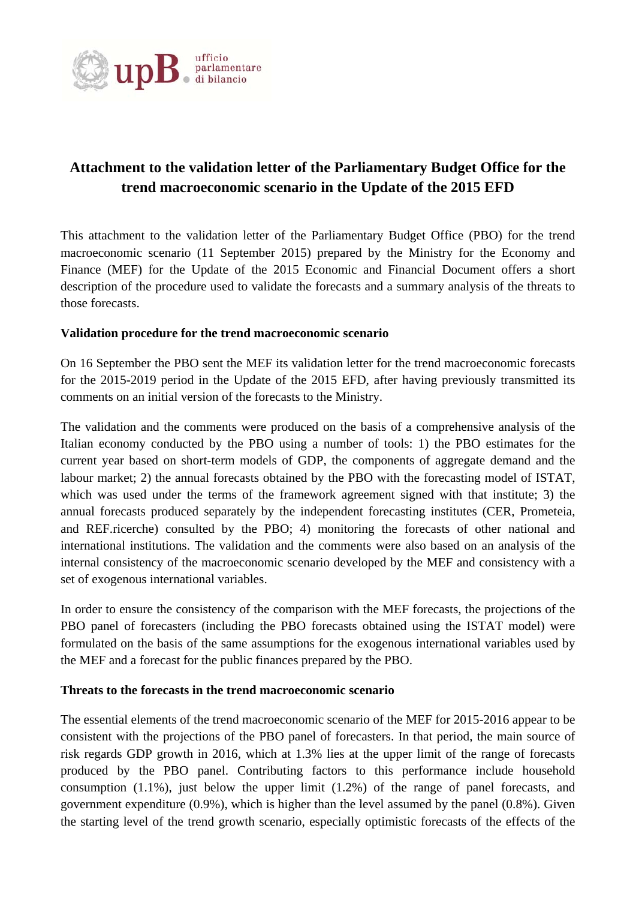

## **Attachment to the validation letter of the Parliamentary Budget Office for the trend macroeconomic scenario in the Update of the 2015 EFD**

This attachment to the validation letter of the Parliamentary Budget Office (PBO) for the trend macroeconomic scenario (11 September 2015) prepared by the Ministry for the Economy and Finance (MEF) for the Update of the 2015 Economic and Financial Document offers a short description of the procedure used to validate the forecasts and a summary analysis of the threats to those forecasts.

## **Validation procedure for the trend macroeconomic scenario**

On 16 September the PBO sent the MEF its validation letter for the trend macroeconomic forecasts for the 2015-2019 period in the Update of the 2015 EFD, after having previously transmitted its comments on an initial version of the forecasts to the Ministry.

The validation and the comments were produced on the basis of a comprehensive analysis of the Italian economy conducted by the PBO using a number of tools: 1) the PBO estimates for the current year based on short-term models of GDP, the components of aggregate demand and the labour market; 2) the annual forecasts obtained by the PBO with the forecasting model of ISTAT, which was used under the terms of the framework agreement signed with that institute; 3) the annual forecasts produced separately by the independent forecasting institutes (CER, Prometeia, and REF.ricerche) consulted by the PBO; 4) monitoring the forecasts of other national and international institutions. The validation and the comments were also based on an analysis of the internal consistency of the macroeconomic scenario developed by the MEF and consistency with a set of exogenous international variables.

In order to ensure the consistency of the comparison with the MEF forecasts, the projections of the PBO panel of forecasters (including the PBO forecasts obtained using the ISTAT model) were formulated on the basis of the same assumptions for the exogenous international variables used by the MEF and a forecast for the public finances prepared by the PBO.

## **Threats to the forecasts in the trend macroeconomic scenario**

The essential elements of the trend macroeconomic scenario of the MEF for 2015-2016 appear to be consistent with the projections of the PBO panel of forecasters. In that period, the main source of risk regards GDP growth in 2016, which at 1.3% lies at the upper limit of the range of forecasts produced by the PBO panel. Contributing factors to this performance include household consumption (1.1%), just below the upper limit (1.2%) of the range of panel forecasts, and government expenditure (0.9%), which is higher than the level assumed by the panel (0.8%). Given the starting level of the trend growth scenario, especially optimistic forecasts of the effects of the